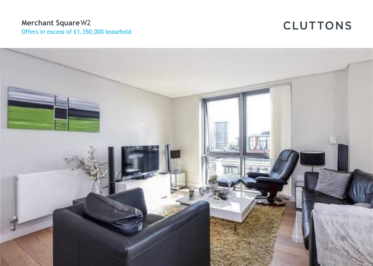## **Merchant Square**W2 Offers in excess of £1,350,000 leasehold

## **CLUTTONS**

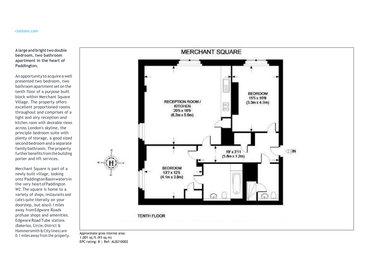**A** large and bright two double **bedroom, two bathroom apartment in the heart of Paddington.**

An opportunity to acquire a well presented two bedroom, two bathroom apartment set on the tenth floor of a purpose built block within Merchant Square Village. The property offers excellent proportioned rooms throughout and comprises of a light and airy reception and kitchen room with desirable views across London's skyline, the principle bedroom suite with plenty of storage, a good sized second bedroom and a separate family bathroom. The property further benefits from the building porter and lift services.

Merchant Square is part of a newly built village, looking onto PaddingtonBasinwatersin the very heartofPaddington W2.The square is home to a variety of shops, restaurants and cafe's quite literally on your doorstep, but also0.1miles away fromEdgware Roads profuse shops and amenities. Edgware Road Tube stations (Bakerloo, Circle, District & Hammersmith & City lines) are 0.1 miles away from the property.  $\frac{1}{4}$  and sq ff (93 sq m)



1,001 sq ft (93 sq m) EPC rating: B | Ref: ALB210002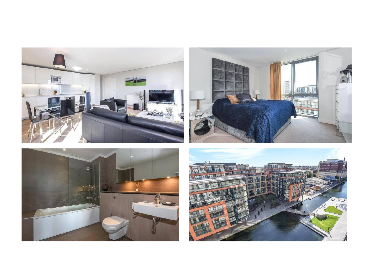